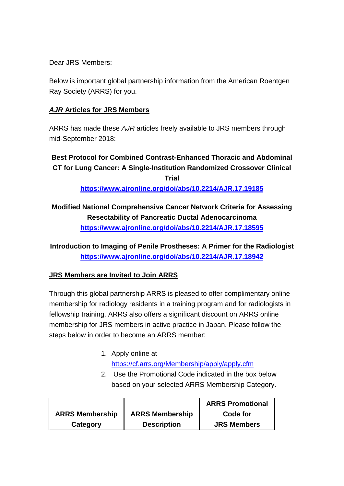Dear JRS Members:

Below is important global partnership information from the American Roentgen Ray Society (ARRS) for you.

### *AJR* **Articles for JRS Members**

ARRS has made these *AJR* articles freely available to JRS members through mid-September 2018:

# **Best Protocol for Combined Contrast-Enhanced Thoracic and Abdominal CT for Lung Cancer: A Single-Institution Randomized Crossover Clinical Trial**

**<https://www.ajronline.org/doi/abs/10.2214/AJR.17.19185>**

## **Modified National Comprehensive Cancer Network Criteria for Assessing Resectability of Pancreatic Ductal Adenocarcinoma <https://www.ajronline.org/doi/abs/10.2214/AJR.17.18595>**

**Introduction to Imaging of Penile Prostheses: A Primer for the Radiologist <https://www.ajronline.org/doi/abs/10.2214/AJR.17.18942>**

### **JRS Members are Invited to Join ARRS**

Through this global partnership ARRS is pleased to offer complimentary online membership for radiology residents in a training program and for radiologists in fellowship training. ARRS also offers a significant discount on ARRS online membership for JRS members in active practice in Japan. Please follow the steps below in order to become an ARRS member:

#### 1. Apply online at <https://cf.arrs.org/Membership/apply/apply.cfm>

2. Use the Promotional Code indicated in the box below based on your selected ARRS Membership Category.

|                        |                        | <b>ARRS Promotional</b> |
|------------------------|------------------------|-------------------------|
| <b>ARRS Membership</b> | <b>ARRS Membership</b> | Code for                |
| Category               | <b>Description</b>     | <b>JRS Members</b>      |